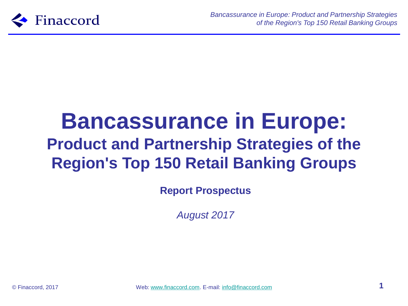

# **Bancassurance in Europe: Product and Partnership Strategies of the Region's Top 150 Retail Banking Groups**

**Report Prospectus**

*August 2017*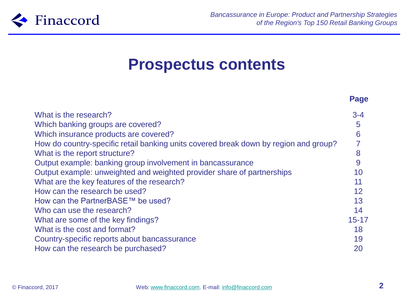

### **Prospectus contents**

|                                                                                      | Page      |
|--------------------------------------------------------------------------------------|-----------|
| What is the research?                                                                | $3 - 4$   |
| Which banking groups are covered?                                                    | 5         |
| Which insurance products are covered?                                                | 6         |
| How do country-specific retail banking units covered break down by region and group? |           |
| What is the report structure?                                                        | 8         |
| Output example: banking group involvement in bancassurance                           | 9         |
| Output example: unweighted and weighted provider share of partnerships               | 10        |
| What are the key features of the research?                                           | 11        |
| How can the research be used?                                                        | 12        |
| How can the PartnerBASE™ be used?                                                    | 13        |
| Who can use the research?                                                            | 14        |
| What are some of the key findings?                                                   | $15 - 17$ |
| What is the cost and format?                                                         | 18        |
| Country-specific reports about bancassurance                                         | 19        |
| How can the research be purchased?                                                   | 20        |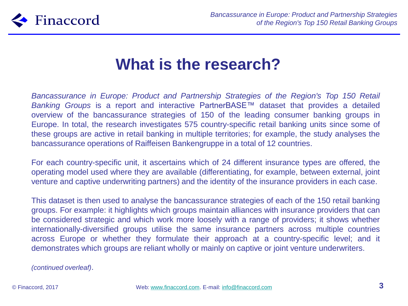

### **What is the research?**

*Bancassurance in Europe: Product and Partnership Strategies of the Region's Top 150 Retail Banking Groups* is a report and interactive PartnerBASE™ dataset that provides a detailed overview of the bancassurance strategies of 150 of the leading consumer banking groups in Europe. In total, the research investigates 575 country-specific retail banking units since some of these groups are active in retail banking in multiple territories; for example, the study analyses the bancassurance operations of Raiffeisen Bankengruppe in a total of 12 countries.

For each country-specific unit, it ascertains which of 24 different insurance types are offered, the operating model used where they are available (differentiating, for example, between external, joint venture and captive underwriting partners) and the identity of the insurance providers in each case.

This dataset is then used to analyse the bancassurance strategies of each of the 150 retail banking groups. For example: it highlights which groups maintain alliances with insurance providers that can be considered strategic and which work more loosely with a range of providers; it shows whether internationally-diversified groups utilise the same insurance partners across multiple countries across Europe or whether they formulate their approach at a country-specific level; and it demonstrates which groups are reliant wholly or mainly on captive or joint venture underwriters.

*(continued overleaf)*.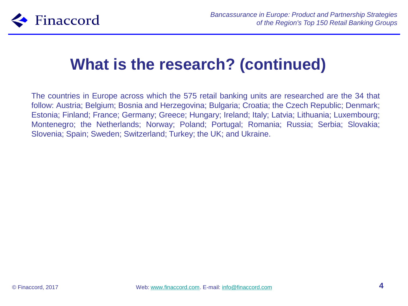

## **What is the research? (continued)**

The countries in Europe across which the 575 retail banking units are researched are the 34 that follow: Austria; Belgium; Bosnia and Herzegovina; Bulgaria; Croatia; the Czech Republic; Denmark; Estonia; Finland; France; Germany; Greece; Hungary; Ireland; Italy; Latvia; Lithuania; Luxembourg; Montenegro; the Netherlands; Norway; Poland; Portugal; Romania; Russia; Serbia; Slovakia; Slovenia; Spain; Sweden; Switzerland; Turkey; the UK; and Ukraine.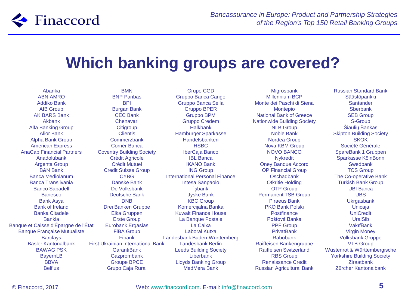

## **Which banking groups are covered?**

Abanka ABN AMRO Addiko Bank AIB Group AK BARS Bank Akbank Alfa Banking Group Alior Bank Alpha Bank Group American Express AnaCap Financial Partners Anadolubank Argenta Group B&N Bank Banca Mediolanum Banca Transilvania Banco Sabadell Banesco Bank Asya Bank of Ireland Banka Citadele Bankia Banque et Caisse d'Épargne de l'État Banque Française Mutualiste **Barclavs** Basler Kantonalbank BAWAG PSK BayernLB **BBVA** Belfius

BMN BNP Paribas BPI Burgan Bank CEC Bank Chenavari **Citigroup Clientis** Commerzbank Cornèr Banca Coventry Building Society Crédit Agricole Crédit Mutuel Credit Suisse Group **CYBG** Danske Bank De Volksbank Deutsche Bank DNB Drei Banken Gruppe Eika Gruppen Erste Group Eurobank Ergasias FiBA Group Fibank First Ukrainian International Bank GarantiBank **Gazprombank** Groupe BPCE Grupo Caja Rural

Grupo CGD Gruppo Banca Carige Gruppo Banca Sella Gruppo BPER Gruppo BPM Gruppo Credem Halkbank Hamburger Sparkasse Handelsbanken HSBC IberCaja Banco IBL Banca IKANO Bank ING Group International Personal Finance Intesa Sanpaolo İşbank Jyske Bank KBC Group Komercijalna Banka Kuwait Finance House La Banque Postale La Caixa Laboral Kutxa Landesbank Baden-Württemberg Landesbank Berlin Leeds Building Society Liberbank Lloyds Banking Group MedMera Bank

**Migrosbank** Millennium BCP Monte dei Paschi di Siena Montepio National Bank of Greece Nationwide Building Society NLB Group Noble Bank Nordea Group Nova KBM Group NOVO BANCO **N**vkredit Oney Banque Accord OP Financial Group Oschadbank Otkritie Holding OTP Group Permanent TSB Group Piraeus Bank PKO Bank Polski **Postfinance** Poštová Banka PPF Group **PrivatBank** Rabobank Raiffeisen Bankengruppe Raiffeisen Switzerland RBS Group Renaissance Credit Russian Agricultural Bank

Russian Standard Bank Säästöpankki **Santander Sherbank** SEB Group S-Group Šiaulių Bankas Skipton Building Society **SKOK** Société Générale SpareBank 1 Gruppen Sparkasse KölnBonn **Swedbank** TCS Group The Co-operative Bank Turkish Bank Group UBI Banca UBS **Ukrgasbank** Unicaja UniCredit UralSib VakıfBank Virgin Money Volksbank Gruppe VTB Group Wüstenrot & Württembergische Yorkshire Building Society **Ziraatbank** Zürcher Kantonalbank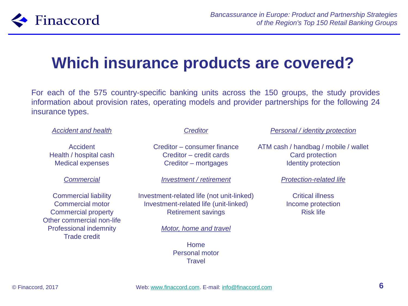

## **Which insurance products are covered?**

For each of the 575 country-specific banking units across the 150 groups, the study provides information about provision rates, operating models and provider partnerships for the following 24 insurance types.

#### *Accident and health*

Accident Health / hospital cash Medical expenses

#### *Commercial*

Commercial liability Commercial motor Commercial property Other commercial non-life Professional indemnity Trade credit

#### *Creditor*

Creditor – consumer finance Creditor – credit cards Creditor – mortgages

*Investment / retirement*

Investment-related life (not unit-linked) Investment-related life (unit-linked) Retirement savings

*Motor, home and travel*

Home Personal motor **Travel** 

*Personal / identity protection*

ATM cash / handbag / mobile / wallet Card protection Identity protection

*Protection-related life*

Critical illness Income protection Risk life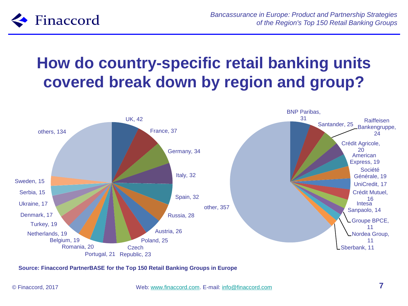

## **How do country-specific retail banking units covered break down by region and group?**

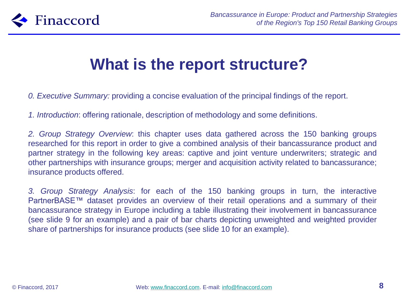

## **What is the report structure?**

*0. Executive Summary:* providing a concise evaluation of the principal findings of the report.

*1. Introduction*: offering rationale, description of methodology and some definitions.

*2. Group Strategy Overview*: this chapter uses data gathered across the 150 banking groups researched for this report in order to give a combined analysis of their bancassurance product and partner strategy in the following key areas: captive and joint venture underwriters; strategic and other partnerships with insurance groups; merger and acquisition activity related to bancassurance; insurance products offered.

*3. Group Strategy Analysis*: for each of the 150 banking groups in turn, the interactive PartnerBASE™ dataset provides an overview of their retail operations and a summary of their bancassurance strategy in Europe including a table illustrating their involvement in bancassurance (see slide 9 for an example) and a pair of bar charts depicting unweighted and weighted provider share of partnerships for insurance products (see slide 10 for an example).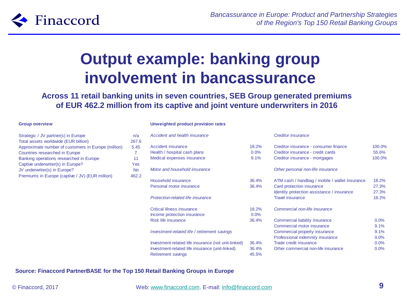

## **Output example: banking group involvement in bancassurance**

**Across 11 retail banking units in seven countries, SEB Group generated premiums of EUR 462.2 million from its captive and joint venture underwriters in 2016**

#### **Group overview**

| Strategic / JV partner(s) in Europe                 | n/a       |
|-----------------------------------------------------|-----------|
| Total assets worldwide (EUR billion)                | 267.6     |
| Approximate number of customers in Europe (million) | 5.45      |
| Countries researched in Europe                      |           |
| Banking operations researched in Europe             | 11        |
| Captive underwriter(s) in Europe?                   | Yes       |
| JV underwriter(s) in Europe?                        | <b>No</b> |
| Premiums in Europe (captive / JV) (EUR million)     | 462.2     |

#### **Unweighted product provision rates**

| Accident and health insurance                       |         | <b>Creditor insurance</b>                      |        |
|-----------------------------------------------------|---------|------------------------------------------------|--------|
| Accident insurance                                  | 18.2%   | Creditor insurance - consumer finance          | 100.0% |
| Health / hospital cash plans                        | $0.0\%$ | Creditor insurance - credit cards              | 55.6%  |
| Medical expenses insurance                          | 9.1%    | Creditor insurance - mortgages                 | 100.0% |
| Motor and household insurance                       |         | Other personal non-life insurance              |        |
| Household insurance                                 | 36.4%   | ATM cash / handbag / mobile / wallet insurance | 18.2%  |
| Personal motor insurance                            | 36.4%   | Card protection insurance                      | 27.3%  |
|                                                     |         | Identity protection assistance / insurance     | 27.3%  |
| Protection-related life insurance                   |         | <b>Travel insurance</b>                        | 18.2%  |
| Critical illness insurance                          | 18.2%   | Commercial non-life insurance                  |        |
| Income protection insurance                         | 0.0%    |                                                |        |
| <b>Risk life insurance</b>                          | 36.4%   | Commercial liability insurance                 | 0.0%   |
|                                                     |         | Commercial motor insurance                     | 9.1%   |
| Investment-related life / retirement savings        |         | Commercial property insurance                  | 9.1%   |
|                                                     |         | Professional indemnity insurance               | 0.0%   |
| Investment-related life insurance (not unit-linked) | 36.4%   | Trade credit insurance                         | 0.0%   |
| Investment-related life insurance (unit-linked)     | 36.4%   | Other commercial non-life insurance            | 0.0%   |
| <b>Retirement savings</b>                           | 45.5%   |                                                |        |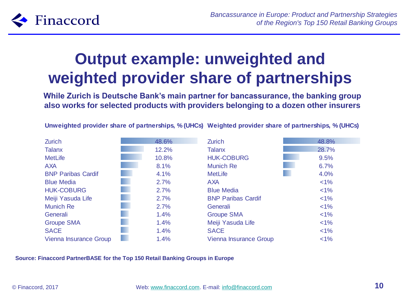

## **Output example: unweighted and weighted provider share of partnerships**

**While Zurich is Deutsche Bank's main partner for bancassurance, the banking group also works for selected products with providers belonging to a dozen other insurers**

| <b>Zurich</b>             | 48.6% | <b>Zurich</b>                 | 48.8%   |
|---------------------------|-------|-------------------------------|---------|
| <b>Talanx</b>             | 12.2% | <b>Talanx</b>                 | 28.7%   |
| <b>MetLife</b>            | 10.8% | <b>HUK-COBURG</b>             | 9.5%    |
| <b>AXA</b>                | 8.1%  | <b>Munich Re</b>              | 6.7%    |
| <b>BNP Paribas Cardif</b> | 4.1%  | <b>MetLife</b>                | 4.0%    |
| <b>Blue Media</b>         | 2.7%  | <b>AXA</b>                    | $< 1\%$ |
| <b>HUK-COBURG</b>         | 2.7%  | <b>Blue Media</b>             | $< 1\%$ |
| Meiji Yasuda Life         | 2.7%  | <b>BNP Paribas Cardif</b>     | $< 1\%$ |
| <b>Munich Re</b>          | 2.7%  | Generali                      | $< 1\%$ |
| Generali                  | 1.4%  | <b>Groupe SMA</b>             | $< 1\%$ |
| <b>Groupe SMA</b>         | 1.4%  | Meiji Yasuda Life             | $< 1\%$ |
| <b>SACE</b>               | 1.4%  | <b>SACE</b>                   | $< 1\%$ |
| Vienna Insurance Group    | 1.4%  | <b>Vienna Insurance Group</b> | $< 1\%$ |

**Unweighted provider share of partnerships, % (UHCs) Weighted provider share of partnerships, % (UHCs)**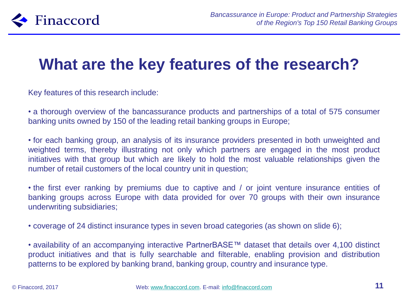

## **What are the key features of the research?**

Key features of this research include:

• a thorough overview of the bancassurance products and partnerships of a total of 575 consumer banking units owned by 150 of the leading retail banking groups in Europe;

• for each banking group, an analysis of its insurance providers presented in both unweighted and weighted terms, thereby illustrating not only which partners are engaged in the most product initiatives with that group but which are likely to hold the most valuable relationships given the number of retail customers of the local country unit in question;

• the first ever ranking by premiums due to captive and / or joint venture insurance entities of banking groups across Europe with data provided for over 70 groups with their own insurance underwriting subsidiaries;

• coverage of 24 distinct insurance types in seven broad categories (as shown on slide 6);

• availability of an accompanying interactive PartnerBASE™ dataset that details over 4,100 distinct product initiatives and that is fully searchable and filterable, enabling provision and distribution patterns to be explored by banking brand, banking group, country and insurance type.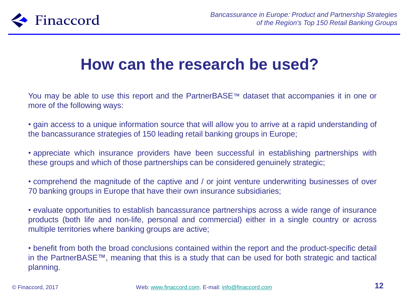

### **How can the research be used?**

You may be able to use this report and the PartnerBASE™ dataset that accompanies it in one or more of the following ways:

• gain access to a unique information source that will allow you to arrive at a rapid understanding of the bancassurance strategies of 150 leading retail banking groups in Europe;

• appreciate which insurance providers have been successful in establishing partnerships with these groups and which of those partnerships can be considered genuinely strategic;

• comprehend the magnitude of the captive and / or joint venture underwriting businesses of over 70 banking groups in Europe that have their own insurance subsidiaries;

• evaluate opportunities to establish bancassurance partnerships across a wide range of insurance products (both life and non-life, personal and commercial) either in a single country or across multiple territories where banking groups are active;

• benefit from both the broad conclusions contained within the report and the product-specific detail in the PartnerBASE™, meaning that this is a study that can be used for both strategic and tactical planning.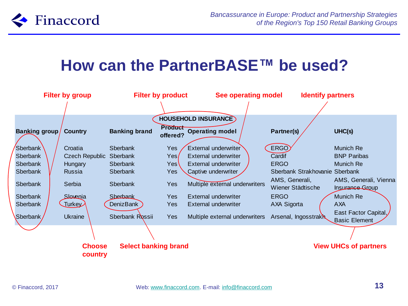

### **How can the PartnerBASE™ be used?**

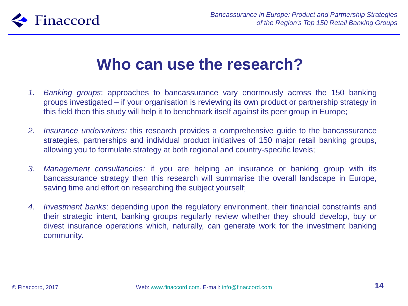

### **Who can use the research?**

- *1. Banking groups*: approaches to bancassurance vary enormously across the 150 banking groups investigated – if your organisation is reviewing its own product or partnership strategy in this field then this study will help it to benchmark itself against its peer group in Europe;
- *2. Insurance underwriters:* this research provides a comprehensive guide to the bancassurance strategies, partnerships and individual product initiatives of 150 major retail banking groups, allowing you to formulate strategy at both regional and country-specific levels;
- *3. Management consultancies:* if you are helping an insurance or banking group with its bancassurance strategy then this research will summarise the overall landscape in Europe, saving time and effort on researching the subject yourself;
- *4. Investment banks*: depending upon the regulatory environment, their financial constraints and their strategic intent, banking groups regularly review whether they should develop, buy or divest insurance operations which, naturally, can generate work for the investment banking community.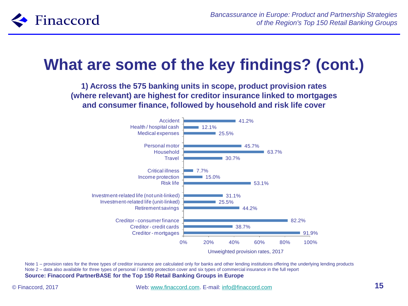

## **What are some of the key findings? (cont.)**

**1) Across the 575 banking units in scope, product provision rates (where relevant) are highest for creditor insurance linked to mortgages and consumer finance, followed by household and risk life cover**



Note 1 – provision rates for the three types of creditor insurance are calculated only for banks and other lending institutions offering the underlying lending products Note 2 – data also available for three types of personal / identity protection cover and six types of commercial insurance in the full report **Source: Finaccord PartnerBASE for the Top 150 Retail Banking Groups in Europe**

© Finaccord, 2017 Web: [www.finaccord.com](http://www.finaccord.com/). E-mail: [info@finaccord.com](mailto:info@finaccord.com) **15**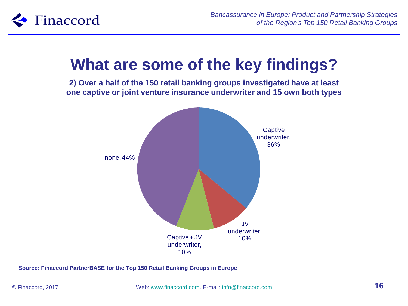

## **What are some of the key findings?**

**2) Over a half of the 150 retail banking groups investigated have at least one captive or joint venture insurance underwriter and 15 own both types**

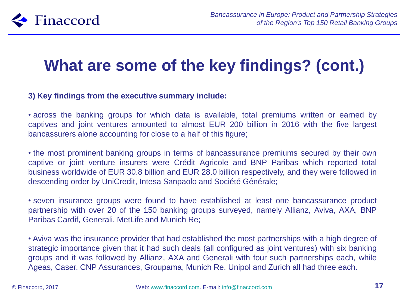

## **What are some of the key findings? (cont.)**

### **3) Key findings from the executive summary include:**

• across the banking groups for which data is available, total premiums written or earned by captives and joint ventures amounted to almost EUR 200 billion in 2016 with the five largest bancassurers alone accounting for close to a half of this figure;

• the most prominent banking groups in terms of bancassurance premiums secured by their own captive or joint venture insurers were Crédit Agricole and BNP Paribas which reported total business worldwide of EUR 30.8 billion and EUR 28.0 billion respectively, and they were followed in descending order by UniCredit, Intesa Sanpaolo and Société Générale;

• seven insurance groups were found to have established at least one bancassurance product partnership with over 20 of the 150 banking groups surveyed, namely Allianz, Aviva, AXA, BNP Paribas Cardif, Generali, MetLife and Munich Re;

• Aviva was the insurance provider that had established the most partnerships with a high degree of strategic importance given that it had such deals (all configured as joint ventures) with six banking groups and it was followed by Allianz, AXA and Generali with four such partnerships each, while Ageas, Caser, CNP Assurances, Groupama, Munich Re, Unipol and Zurich all had three each.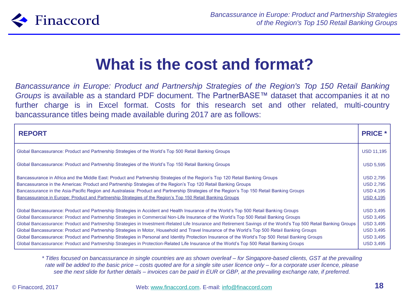

## **What is the cost and format?**

*Bancassurance in Europe: Product and Partnership Strategies of the Region's Top 150 Retail Banking Groups* is available as a standard PDF document. The PartnerBASE™ dataset that accompanies it at no further charge is in Excel format. Costs for this research set and other related, multi-country bancassurance titles being made available during 2017 are as follows:

| <b>REPORT</b>                                                                                                                                                     | <b>PRICE *</b>    |
|-------------------------------------------------------------------------------------------------------------------------------------------------------------------|-------------------|
| Global Bancassurance: Product and Partnership Strategies of the World's Top 500 Retail Banking Groups                                                             | <b>USD 11,195</b> |
| Global Bancassurance: Product and Partnership Strategies of the World's Top 150 Retail Banking Groups                                                             | <b>USD 5,595</b>  |
| Bancassurance in Africa and the Middle East: Product and Partnership Strategies of the Region's Top 120 Retail Banking Groups                                     | <b>USD 2,795</b>  |
| Bancassurance in the Americas: Product and Partnership Strategies of the Region's Top 120 Retail Banking Groups                                                   | <b>USD 2,795</b>  |
| Bancassurance in the Asia-Pacific Region and Australasia: Product and Partnership Strategies of the Region's Top 150 Retail Banking Groups                        | <b>USD 4,195</b>  |
| Bancassurance in Europe: Product and Partnership Strategies of the Region's Top 150 Retail Banking Groups                                                         | <b>USD 4,195</b>  |
| Global Bancassurance: Product and Partnership Strategies in Accident and Health Insurance of the World's Top 500 Retail Banking Groups                            | <b>USD 3,495</b>  |
| Global Bancassurance: Product and Partnership Strategies in Commercial Non-Life Insurance of the World's Top 500 Retail Banking Groups                            | <b>USD 3,495</b>  |
| Global Bancassurance: Product and Partnership Strategies in Investment-Related Life Insurance and Retirement Savings of the World's Top 500 Retail Banking Groups | <b>USD 3,495</b>  |
| Global Bancassurance: Product and Partnership Strategies in Motor, Household and Travel Insurance of the World's Top 500 Retail Banking Groups                    | <b>USD 3,495</b>  |
| Global Bancassurance: Product and Partnership Strategies in Personal and Identity Protection Insurance of the World's Top 500 Retail Banking Groups               | <b>USD 3,495</b>  |
| Global Bancassurance: Product and Partnership Strategies in Protection-Related Life Insurance of the World's Top 500 Retail Banking Groups                        | <b>USD 3,495</b>  |

*\* Titles focused on bancassurance in single countries are as shown overleaf – for Singapore-based clients, GST at the prevailing rate will be added to the basic price – costs quoted are for a single site user licence only – for a corporate user licence, please see the next slide for further details – invoices can be paid in EUR or GBP, at the prevailing exchange rate, if preferred.*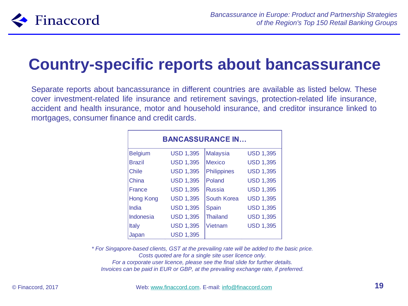

## **Country-specific reports about bancassurance**

Separate reports about bancassurance in different countries are available as listed below. These cover investment-related life insurance and retirement savings, protection-related life insurance, accident and health insurance, motor and household insurance, and creditor insurance linked to mortgages, consumer finance and credit cards.

| <b>BANCASSURANCE IN</b> |                  |                    |                  |  |
|-------------------------|------------------|--------------------|------------------|--|
| <b>Belgium</b>          | <b>USD 1,395</b> | <b>Malaysia</b>    | <b>USD 1,395</b> |  |
| <b>Brazil</b>           | <b>USD 1,395</b> | <b>Mexico</b>      | <b>USD 1,395</b> |  |
| <b>Chile</b>            | <b>USD 1,395</b> | <b>Philippines</b> | <b>USD 1,395</b> |  |
| China                   | <b>USD 1,395</b> | Poland             | <b>USD 1,395</b> |  |
| <b>France</b>           | <b>USD 1,395</b> | <b>Russia</b>      | <b>USD 1,395</b> |  |
| <b>Hong Kong</b>        | <b>USD 1,395</b> | South Korea        | <b>USD 1,395</b> |  |
| India                   | <b>USD 1,395</b> | Spain              | <b>USD 1,395</b> |  |
| Indonesia               | <b>USD 1,395</b> | <b>Thailand</b>    | <b>USD 1,395</b> |  |
| Italy                   | <b>USD 1,395</b> | Vietnam            | <b>USD 1,395</b> |  |
| Japan                   | <b>USD 1,395</b> |                    |                  |  |

*\* For Singapore-based clients, GST at the prevailing rate will be added to the basic price. Costs quoted are for a single site user licence only. For a corporate user licence, please see the final slide for further details. Invoices can be paid in EUR or GBP, at the prevailing exchange rate, if preferred.*